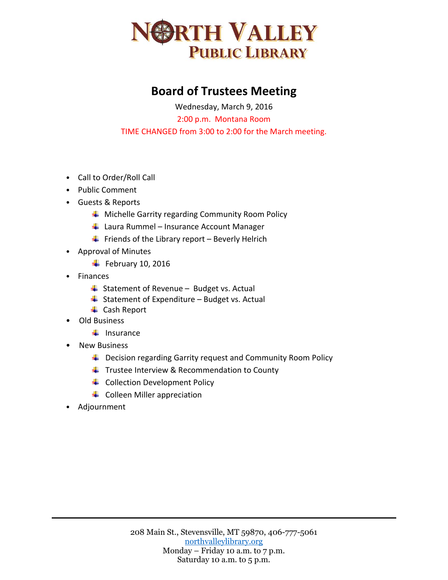

## **Board of Trustees Meeting**

Wednesday, March 9, 2016 2:00 p.m. Montana Room TIME CHANGED from 3:00 to 2:00 for the March meeting.

- Call to Order/Roll Call
- Public Comment
- Guests & Reports
	- ↓ Michelle Garrity regarding Community Room Policy
	- $\downarrow$  Laura Rummel Insurance Account Manager
	- $\ddot{+}$  Friends of the Library report Beverly Helrich
- Approval of Minutes
	- $\overline{\phantom{a}}$  February 10, 2016
- Finances
	- $\ddot{+}$  Statement of Revenue Budget vs. Actual
	- $\overline{\phantom{a}}$  Statement of Expenditure Budget vs. Actual
	- **↓** Cash Report
- Old Business
	- $\blacksquare$  Insurance
- New Business
	- $\downarrow$  Decision regarding Garrity request and Community Room Policy
	- $\ddot{\bullet}$  Trustee Interview & Recommendation to County
	- **↓** Collection Development Policy
	- $\leftarrow$  Colleen Miller appreciation
- Adjournment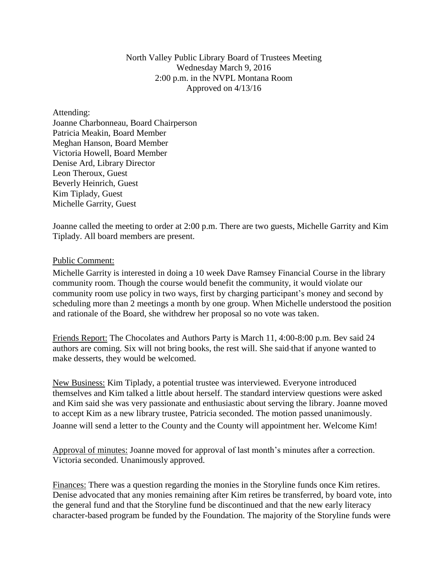## North Valley Public Library Board of Trustees Meeting Wednesday March 9, 2016 2:00 p.m. in the NVPL Montana Room Approved on 4/13/16

Attending: Joanne Charbonneau, Board Chairperson Patricia Meakin, Board Member Meghan Hanson, Board Member Victoria Howell, Board Member Denise Ard, Library Director Leon Theroux, Guest Beverly Heinrich, Guest Kim Tiplady, Guest Michelle Garrity, Guest

Joanne called the meeting to order at 2:00 p.m. There are two guests, Michelle Garrity and Kim Tiplady. All board members are present.

## Public Comment:

Michelle Garrity is interested in doing a 10 week Dave Ramsey Financial Course in the library community room. Though the course would benefit the community, it would violate our community room use policy in two ways, first by charging participant's money and second by scheduling more than 2 meetings a month by one group. When Michelle understood the position and rationale of the Board, she withdrew her proposal so no vote was taken.

Friends Report: The Chocolates and Authors Party is March 11, 4:00-8:00 p.m. Bev said 24 authors are coming. Six will not bring books, the rest will. She said that if anyone wanted to make desserts, they would be welcomed.

New Business: Kim Tiplady, a potential trustee was interviewed. Everyone introduced themselves and Kim talked a little about herself. The standard interview questions were asked and Kim said she was very passionate and enthusiastic about serving the library. Joanne moved to accept Kim as a new library trustee, Patricia seconded. The motion passed unanimously. Joanne will send a letter to the County and the County will appointment her. Welcome Kim!

Approval of minutes: Joanne moved for approval of last month's minutes after a correction. Victoria seconded. Unanimously approved.

Finances: There was a question regarding the monies in the Storyline funds once Kim retires. Denise advocated that any monies remaining after Kim retires be transferred, by board vote, into the general fund and that the Storyline fund be discontinued and that the new early literacy character-based program be funded by the Foundation. The majority of the Storyline funds were